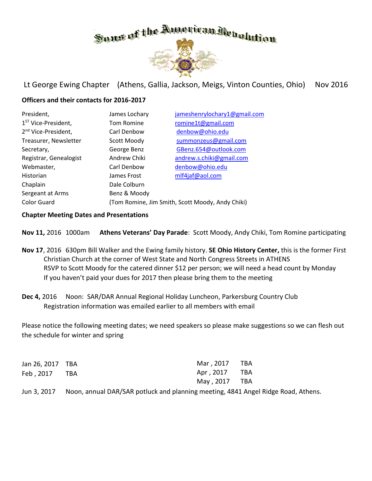

Lt George Ewing Chapter (Athens, Gallia, Jackson, Meigs, Vinton Counties, Ohio) Nov 2016

### **Officers and their contacts for 2016-2017**

| President,                      | James Lochary                                    | jameshenrylochary1@gmail.com |  |
|---------------------------------|--------------------------------------------------|------------------------------|--|
| 1 <sup>ST</sup> Vice-President, | Tom Romine                                       | romine1t@gmail.com           |  |
| 2 <sup>nd</sup> Vice-President, | Carl Denbow                                      | denbow@ohio.edu              |  |
| Treasurer, Newsletter           | Scott Moody                                      | summonzeus@gmail.com         |  |
| Secretary,                      | George Benz                                      | GBenz.654@outlook.com        |  |
| Registrar, Genealogist          | Andrew Chiki                                     | andrew.s.chiki@gmail.com     |  |
| Webmaster,                      | Carl Denbow                                      | denbow@ohio.edu              |  |
| Historian                       | James Frost                                      | mlf4jaf@aol.com              |  |
| Chaplain                        | Dale Colburn                                     |                              |  |
| Sergeant at Arms                | Benz & Moody                                     |                              |  |
| <b>Color Guard</b>              | (Tom Romine, Jim Smith, Scott Moody, Andy Chiki) |                              |  |

#### **Chapter Meeting Dates and Presentations**

**Nov 11,** 2016 1000am **Athens Veterans' Day Parade**: Scott Moody, Andy Chiki, Tom Romine participating

- **Nov 17**, 2016 630pm Bill Walker and the Ewing family history. **SE Ohio History Center,** this is the former First Christian Church at the corner of West State and North Congress Streets in ATHENS RSVP to Scott Moody for the catered dinner \$12 per person; we will need a head count by Monday If you haven't paid your dues for 2017 then please bring them to the meeting
- Dec 4, 2016 Noon: SAR/DAR Annual Regional Holiday Luncheon, Parkersburg Country Club Registration information was emailed earlier to all members with email

Please notice the following meeting dates; we need speakers so please make suggestions so we can flesh out the schedule for winter and spring

| Jan 26, 2017 TBA | Mar, 2017 TBA |  |
|------------------|---------------|--|
| Feb, 2017 TBA    | Apr, 2017 TBA |  |
|                  | May, 2017 TBA |  |

Jun 3, 2017 Noon, annual DAR/SAR potluck and planning meeting, 4841 Angel Ridge Road, Athens.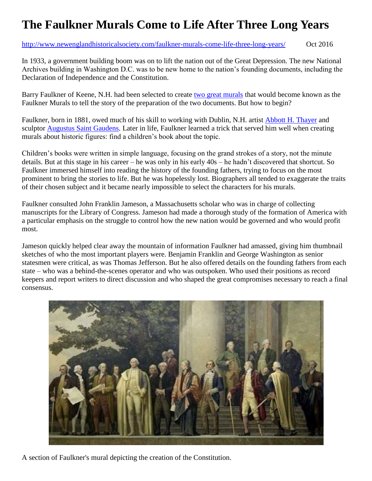## **The Faulkner Murals Come to Life After Three Long Years**

<http://www.newenglandhistoricalsociety.com/faulkner-murals-come-life-three-long-years/> Oct 2016

In 1933, a government building boom was on to lift the nation out of the Great Depression. The new National Archives building in Washington D.C. was to be new home to the nation's founding documents, including the Declaration of Independence and the Constitution.

Barry Faulkner of Keene, N.H. had been selected to create [two great murals](http://www.archives.gov/exhibits/charters/charters_murals.html) that would become known as the Faulkner Murals to tell the story of the preparation of the two documents. But how to begin?

Faulkner, born in 1881, owed much of his skill to working with Dublin, N.H. artist [Abbott H. Thayer](http://www.newenglandhistoricalsociety.com/flashback-photo-angels-abbott-handerson-thayer/) and sculptor [Augustus Saint Gaudens.](http://www.newenglandhistoricalsociety.com/naked-drunken-woman-gets-kicked-out-of-the-boston-public-library/) Later in life, Faulkner learned a trick that served him well when creating murals about historic figures: find a children's book about the topic.

Children's books were written in simple language, focusing on the grand strokes of a story, not the minute details. But at this stage in his career – he was only in his early 40s – he hadn't discovered that shortcut. So Faulkner immersed himself into reading the history of the founding fathers, trying to focus on the most prominent to bring the stories to life. But he was hopelessly lost. Biographers all tended to exaggerate the traits of their chosen subject and it became nearly impossible to select the characters for his murals.

Faulkner consulted John Franklin Jameson, a Massachusetts scholar who was in charge of collecting manuscripts for the Library of Congress. Jameson had made a thorough study of the formation of America with a particular emphasis on the struggle to control how the new nation would be governed and who would profit most.

Jameson quickly helped clear away the mountain of information Faulkner had amassed, giving him thumbnail sketches of who the most important players were. Benjamin Franklin and George Washington as senior statesmen were critical, as was Thomas Jefferson. But he also offered details on the founding fathers from each state – who was a behind-the-scenes operator and who was outspoken. Who used their positions as record keepers and report writers to direct discussion and who shaped the great compromises necessary to reach a final consensus.



A section of Faulkner's mural depicting the creation of the Constitution.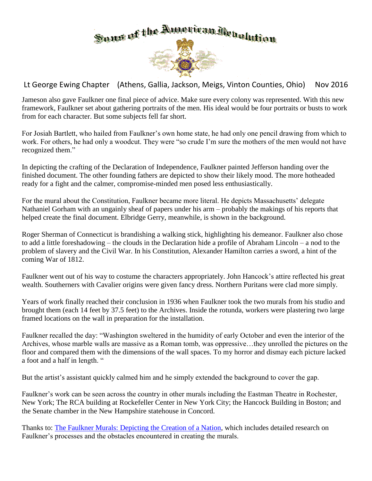

Lt George Ewing Chapter (Athens, Gallia, Jackson, Meigs, Vinton Counties, Ohio) Nov 2016

Jameson also gave Faulkner one final piece of advice. Make sure every colony was represented. With this new framework, Faulkner set about gathering portraits of the men. His ideal would be four portraits or busts to work from for each character. But some subjects fell far short.

For Josiah Bartlett, who hailed from Faulkner's own home state, he had only one pencil drawing from which to work. For others, he had only a woodcut. They were "so crude I'm sure the mothers of the men would not have recognized them."

In depicting the crafting of the Declaration of Independence, Faulkner painted Jefferson handing over the finished document. The other founding fathers are depicted to show their likely mood. The more hotheaded ready for a fight and the calmer, compromise-minded men posed less enthusiastically.

For the mural about the Constitution, Faulkner became more literal. He depicts Massachusetts' delegate Nathaniel Gorham with an ungainly sheaf of papers under his arm – probably the makings of his reports that helped create the final document. Elbridge Gerry, meanwhile, is shown in the background.

Roger Sherman of Connecticut is brandishing a walking stick, highlighting his demeanor. Faulkner also chose to add a little foreshadowing – the clouds in the Declaration hide a profile of Abraham Lincoln – a nod to the problem of slavery and the Civil War. In his Constitution, Alexander Hamilton carries a sword, a hint of the coming War of 1812.

Faulkner went out of his way to costume the characters appropriately. John Hancock's attire reflected his great wealth. Southerners with Cavalier origins were given fancy dress. Northern Puritans were clad more simply.

Years of work finally reached their conclusion in 1936 when Faulkner took the two murals from his studio and brought them (each 14 feet by 37.5 feet) to the Archives. Inside the rotunda, workers were plastering two large framed locations on the wall in preparation for the installation.

Faulkner recalled the day: "Washington sweltered in the humidity of early October and even the interior of the Archives, whose marble walls are massive as a Roman tomb, was oppressive…they unrolled the pictures on the floor and compared them with the dimensions of the wall spaces. To my horror and dismay each picture lacked a foot and a half in length. "

But the artist's assistant quickly calmed him and he simply extended the background to cover the gap.

Faulkner's work can be seen across the country in other murals including the Eastman Theatre in Rochester, New York; The RCA building at Rockefeller Center in New York City; the Hancock Building in Boston; and the Senate chamber in the New Hampshire statehouse in Concord.

Thanks to: [The Faulkner Murals: Depicting the Creation of a Nation,](https://www.archives.gov/publications/prologue/2014/spring/murals.pdf) which includes detailed research on Faulkner's processes and the obstacles encountered in creating the murals.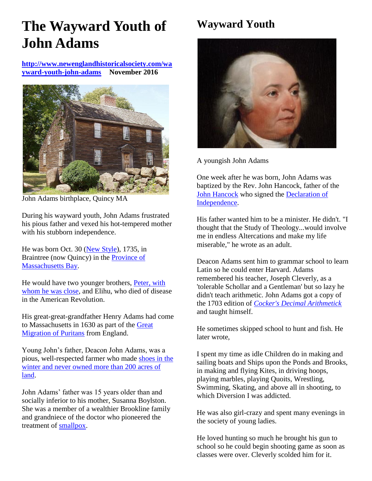# **The Wayward Youth of John Adams**

**[http://www.newenglandhistoricalsociety.com/wa](http://www.newenglandhistoricalsociety.com/wayward-youth-john-adams) [yward-youth-john-adams](http://www.newenglandhistoricalsociety.com/wayward-youth-john-adams) November 2016**



John Adams birthplace, Quincy MA

During his wayward youth, John Adams frustrated his pious father and vexed his hot-tempered mother with his stubborn independence.

He was born Oct. 30 [\(New Style\)](http://www.newenglandhistoricalsociety.com/double-dating-colonial-new-england/), 1735, in Braintree (now Quincy) in the [Province of](https://en.wikipedia.org/wiki/Province_of_Massachusetts_Bay)  [Massachusetts Bay.](https://en.wikipedia.org/wiki/Province_of_Massachusetts_Bay)

He would have two younger brothers, [Peter, with](https://books.google.com/books?id=IyTFVN0ugscC&pg=PA14&dq=john+adams+boyhood&hl=en&sa=X&ved=0ahUKEwiF_7qb_IDQAhUr44MKHU_2B3kQ6AEIHjAA#v=onepage&q=john%20adams%20boyhood&f=false)  [whom he was close,](https://books.google.com/books?id=IyTFVN0ugscC&pg=PA14&dq=john+adams+boyhood&hl=en&sa=X&ved=0ahUKEwiF_7qb_IDQAhUr44MKHU_2B3kQ6AEIHjAA#v=onepage&q=john%20adams%20boyhood&f=false) and Elihu, who died of disease in the American Revolution.

His great-great-grandfather Henry Adams had come to Massachusetts in 1630 as part of the [Great](http://www.newenglandhistoricalsociety.com/the-great-migration-of-picky-puritans-1620-40/)  [Migration of Puritans](http://www.newenglandhistoricalsociety.com/the-great-migration-of-picky-puritans-1620-40/) from England.

Young John's father, Deacon John Adams, was a pious, well-respected farmer who made [shoes in the](https://books.google.com/books?id=23-hDAAAQBAJ&pg=PA416&dq=john+adams+birth&hl=en&sa=X&ved=0ahUKEwi-jerX34DQAhWKz4MKHY_TBnAQ6AEINjAE#v=onepage&q=deacon&f=false)  [winter and never owned more than 200 acres of](https://books.google.com/books?id=23-hDAAAQBAJ&pg=PA416&dq=john+adams+birth&hl=en&sa=X&ved=0ahUKEwi-jerX34DQAhWKz4MKHY_TBnAQ6AEINjAE#v=onepage&q=deacon&f=false)  [land.](https://books.google.com/books?id=23-hDAAAQBAJ&pg=PA416&dq=john+adams+birth&hl=en&sa=X&ved=0ahUKEwi-jerX34DQAhWKz4MKHY_TBnAQ6AEINjAE#v=onepage&q=deacon&f=false)

John Adams' father was 15 years older than and socially inferior to his mother, Susanna Boylston. She was a member of a wealthier Brookline family and grandniece of the doctor who pioneered the treatment of [smallpox.](http://www.newenglandhistoricalsociety.com/samuel-sewall-survives-boston-smallpox-epidemic-1721/)

## **Wayward Youth**



A youngish John Adams

One week after he was born, John Adams was baptized by the Rev. John Hancock, father of the [John Hancock](http://www.newenglandhistoricalsociety.com/the-liberty-affair-john-hancock-loses-a-ship-and-starts-a-riot/) who signed the Declaration of [Independence.](http://www.newenglandhistoricalsociety.com/john-adams-declaration-independence/)

His father wanted him to be a minister. He didn't. "I thought that the Study of Theology...would involve me in endless Altercations and make my life miserable," he wrote as an adult.

Deacon Adams sent him to grammar school to learn Latin so he could enter Harvard. Adams remembered his teacher, Joseph Cleverly, as a 'tolerable Schollar and a Gentleman' but so lazy he didn't teach arithmetic. John Adams got a copy of the 1703 edition of *[Cocker's Decimal Arithmetick](https://en.wikipedia.org/wiki/Cocker%27s_Decimal_Arithmetick)* and taught himself.

He sometimes skipped school to hunt and fish. He later wrote,

I spent my time as idle Children do in making and sailing boats and Ships upon the Ponds and Brooks, in making and flying Kites, in driving hoops, playing marbles, playing Quoits, Wrestling, Swimming, Skating, and above all in shooting, to which Diversion I was addicted.

He was also girl-crazy and spent many evenings in the society of young ladies.

He loved hunting so much he brought his gun to school so he could begin shooting game as soon as classes were over. Cleverly scolded him for it.